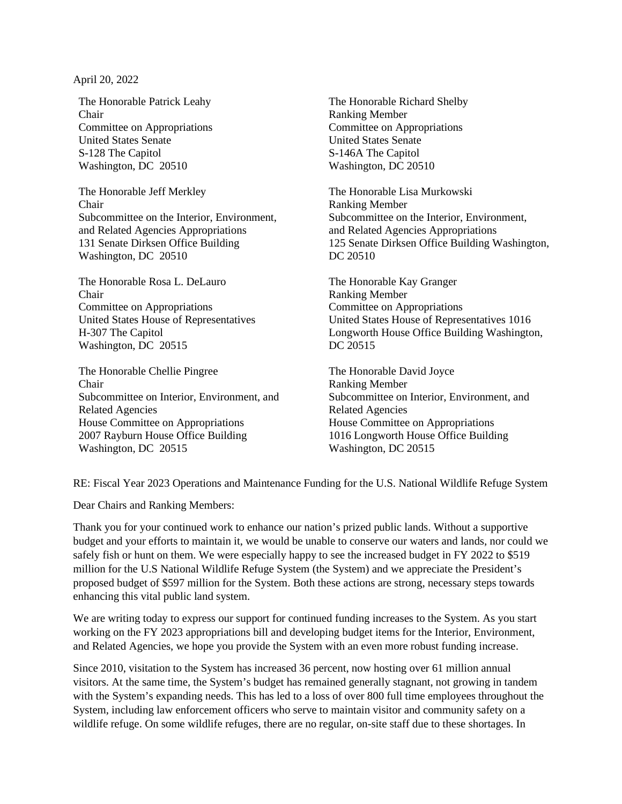April 20, 2022

The Honorable Patrick Leahy Chair Committee on Appropriations United States Senate S-128 The Capitol Washington, DC 20510

The Honorable Jeff Merkley Chair Subcommittee on the Interior, Environment, and Related Agencies Appropriations 131 Senate Dirksen Office Building Washington, DC 20510

The Honorable Rosa L. DeLauro Chair Committee on Appropriations United States House of Representatives H-307 The Capitol Washington, DC 20515

The Honorable Chellie Pingree Chair Subcommittee on Interior, Environment, and Related Agencies House Committee on Appropriations 2007 Rayburn House Office Building Washington, DC 20515

The Honorable Richard Shelby Ranking Member Committee on Appropriations United States Senate S-146A The Capitol Washington, DC 20510

The Honorable Lisa Murkowski Ranking Member Subcommittee on the Interior, Environment, and Related Agencies Appropriations 125 Senate Dirksen Office Building Washington, DC 20510

The Honorable Kay Granger Ranking Member Committee on Appropriations United States House of Representatives 1016 Longworth House Office Building Washington, DC 20515

The Honorable David Joyce Ranking Member Subcommittee on Interior, Environment, and Related Agencies House Committee on Appropriations 1016 Longworth House Office Building Washington, DC 20515

RE: Fiscal Year 2023 Operations and Maintenance Funding for the U.S. National Wildlife Refuge System

Dear Chairs and Ranking Members:

Thank you for your continued work to enhance our nation's prized public lands. Without a supportive budget and your efforts to maintain it, we would be unable to conserve our waters and lands, nor could we safely fish or hunt on them. We were especially happy to see the increased budget in FY 2022 to \$519 million for the U.S National Wildlife Refuge System (the System) and we appreciate the President's proposed budget of \$597 million for the System. Both these actions are strong, necessary steps towards enhancing this vital public land system.

We are writing today to express our support for continued funding increases to the System. As you start working on the FY 2023 appropriations bill and developing budget items for the Interior, Environment, and Related Agencies, we hope you provide the System with an even more robust funding increase.

Since 2010, visitation to the System has increased 36 percent, now hosting over 61 million annual visitors. At the same time, the System's budget has remained generally stagnant, not growing in tandem with the System's expanding needs. This has led to a loss of over 800 full time employees throughout the System, including law enforcement officers who serve to maintain visitor and community safety on a wildlife refuge. On some wildlife refuges, there are no regular, on-site staff due to these shortages. In